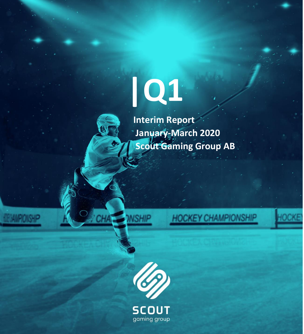# **|Q1**



 **Interim Report January-March 2020 Scout Gaming Group AB**





**NSHIP** 

**SCOUT** gaming group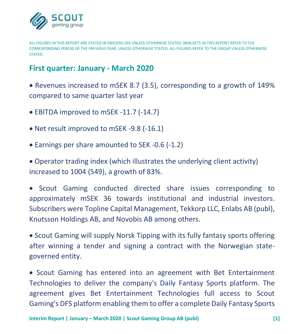

ALL FIGURES IN THIS REPORT ARE STATED IN SWEDISH SEK UNLESS OTHERWISE STATED. BRACKETS IN THIS REPORT REFER TO THE CORRESPONDING PERIOD OF THE PREVIOUS YEAR, UNLESS OTHERWISE STATED. ALL FIGURES REFER TO THE GROUP UNLESS OTHERWISE **STATED.** 

## **First quarter: January - March 2020**

• Revenues increased to mSEK 8.7 (3.5), corresponding to a growth of 149% compared to same quarter last year

- EBITDA improved to mSEK -11.7 (-14.7)
- Net result improved to mSEK -9.8 (-16.1)
- Earnings per share amounted to SEK -0.6 (-1.2)

• Operator trading index (which illustrates the underlying client activity) increased to 1004 (549), a growth of 83%.

• Scout Gaming conducted directed share issues corresponding to approximately mSEK 36 towards institutional and industrial investors. Subscribers were Topline Capital Management, Tekkorp LLC, Enlabs AB (publ), Knutsson Holdings AB, and Novobis AB among others.

• Scout Gaming will supply Norsk Tipping with its fully fantasy sports offering after winning a tender and signing a contract with the Norwegian stategoverned entity.

• Scout Gaming has entered into an agreement with Bet Entertainment Technologies to deliver the company's Daily Fantasy Sports platform. The agreement gives Bet Entertainment Technologies full access to Scout Gaming's DFS platform enabling them to offer a complete Daily Fantasy Sports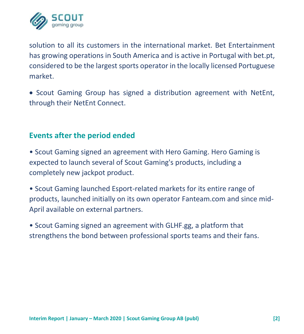

solution to all its customers in the international market. Bet Entertainment has growing operations in South America and is active in Portugal with bet.pt, considered to be the largest sports operator in the locally licensed Portuguese market.

• Scout Gaming Group has signed a distribution agreement with NetEnt, through their NetEnt Connect.

## **Events after the period ended**

• Scout Gaming signed an agreement with Hero Gaming. Hero Gaming is expected to launch several of Scout Gaming's products, including a completely new jackpot product.

• Scout Gaming launched Esport-related markets for its entire range of products, launched initially on its own operator Fanteam.com and since mid-April available on external partners.

• Scout Gaming signed an agreement with GLHF.gg, a platform that strengthens the bond between professional sports teams and their fans.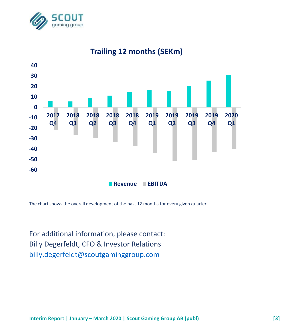



# **Trailing 12 months (SEKm)**

The chart shows the overall development of the past 12 months for every given quarter.

For additional information, please contact: Billy Degerfeldt, CFO & Investor Relations [billy.degerfeldt@scoutgaminggroup.com](mailto:billy.degerfeldt@scoutgaminggroup.com)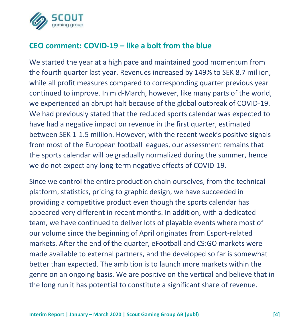

## **CEO comment: COVID-19 – like a bolt from the blue**

We started the year at a high pace and maintained good momentum from the fourth quarter last year. Revenues increased by 149% to SEK 8.7 million, while all profit measures compared to corresponding quarter previous year continued to improve. In mid-March, however, like many parts of the world, we experienced an abrupt halt because of the global outbreak of COVID-19. We had previously stated that the reduced sports calendar was expected to have had a negative impact on revenue in the first quarter, estimated between SEK 1-1.5 million. However, with the recent week's positive signals from most of the European football leagues, our assessment remains that the sports calendar will be gradually normalized during the summer, hence we do not expect any long-term negative effects of COVID-19.

Since we control the entire production chain ourselves, from the technical platform, statistics, pricing to graphic design, we have succeeded in providing a competitive product even though the sports calendar has appeared very different in recent months. In addition, with a dedicated team, we have continued to deliver lots of playable events where most of our volume since the beginning of April originates from Esport-related markets. After the end of the quarter, eFootball and CS:GO markets were made available to external partners, and the developed so far is somewhat better than expected. The ambition is to launch more markets within the genre on an ongoing basis. We are positive on the vertical and believe that in the long run it has potential to constitute a significant share of revenue.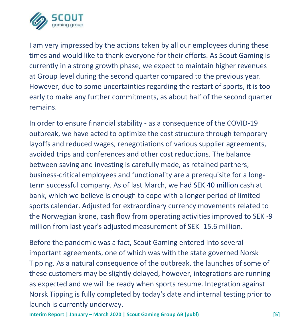

I am very impressed by the actions taken by all our employees during these times and would like to thank everyone for their efforts. As Scout Gaming is currently in a strong growth phase, we expect to maintain higher revenues at Group level during the second quarter compared to the previous year. However, due to some uncertainties regarding the restart of sports, it is too early to make any further commitments, as about half of the second quarter remains.

In order to ensure financial stability - as a consequence of the COVID-19 outbreak, we have acted to optimize the cost structure through temporary layoffs and reduced wages, renegotiations of various supplier agreements, avoided trips and conferences and other cost reductions. The balance between saving and investing is carefully made, as retained partners, business-critical employees and functionality are a prerequisite for a longterm successful company. As of last March, we had SEK 40 million cash at bank, which we believe is enough to cope with a longer period of limited sports calendar. Adjusted for extraordinary currency movements related to the Norwegian krone, cash flow from operating activities improved to SEK -9 million from last year's adjusted measurement of SEK -15.6 million.

Before the pandemic was a fact, Scout Gaming entered into several important agreements, one of which was with the state governed Norsk Tipping. As a natural consequence of the outbreak, the launches of some of these customers may be slightly delayed, however, integrations are running as expected and we will be ready when sports resume. Integration against Norsk Tipping is fully completed by today's date and internal testing prior to launch is currently underway.

**Interim Report | January – March 2020 | Scout Gaming Group AB (publ) [5]**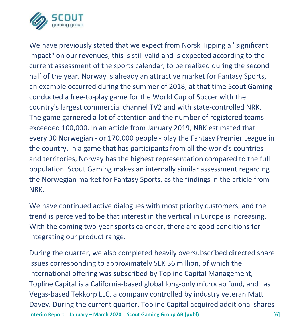

We have previously stated that we expect from Norsk Tipping a "significant impact" on our revenues, this is still valid and is expected according to the current assessment of the sports calendar, to be realized during the second half of the year. Norway is already an attractive market for Fantasy Sports, an example occurred during the summer of 2018, at that time Scout Gaming conducted a free-to-play game for the World Cup of Soccer with the country's largest commercial channel TV2 and with state-controlled NRK. The game garnered a lot of attention and the number of registered teams exceeded 100,000. In an article from January 2019, NRK estimated that every 30 Norwegian - or 170,000 people - play the Fantasy Premier League in the country. In a game that has participants from all the world's countries and territories, Norway has the highest representation compared to the full population. Scout Gaming makes an internally similar assessment regarding the Norwegian market for Fantasy Sports, as the findings in the article from NRK.

We have continued active dialogues with most priority customers, and the trend is perceived to be that interest in the vertical in Europe is increasing. With the coming two-year sports calendar, there are good conditions for integrating our product range.

**Interim Report | January – March 2020 | Scout Gaming Group AB (publ) [6]** During the quarter, we also completed heavily oversubscribed directed share issues corresponding to approximately SEK 36 million, of which the international offering was subscribed by Topline Capital Management, Topline Capital is a California-based global long-only microcap fund, and Las Vegas-based Tekkorp LLC, a company controlled by industry veteran Matt Davey. During the current quarter, Topline Capital acquired additional shares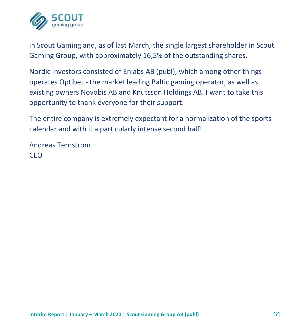

in Scout Gaming and, as of last March, the single largest shareholder in Scout Gaming Group, with approximately 16,5% of the outstanding shares.

Nordic investors consisted of Enlabs AB (publ), which among other things operates Optibet - the market leading Baltic gaming operator, as well as existing owners Novobis AB and Knutsson Holdings AB. I want to take this opportunity to thank everyone for their support.

The entire company is extremely expectant for a normalization of the sports calendar and with it a particularly intense second half!

Andreas Ternstrom CEO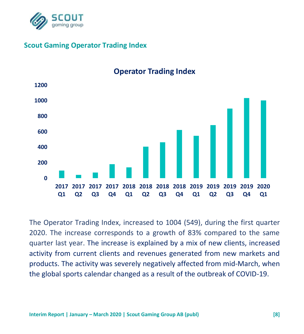

## **Scout Gaming Operator Trading Index**



**Operator Trading Index**

The Operator Trading Index, increased to 1004 (549), during the first quarter 2020. The increase corresponds to a growth of 83% compared to the same quarter last year. The increase is explained by a mix of new clients, increased activity from current clients and revenues generated from new markets and products. The activity was severely negatively affected from mid-March, when the global sports calendar changed as a result of the outbreak of COVID-19.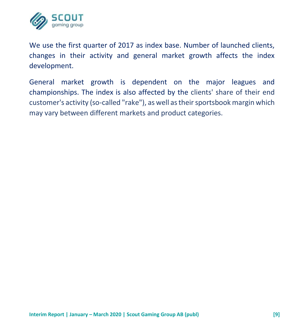

We use the first quarter of 2017 as index base. Number of launched clients, changes in their activity and general market growth affects the index development.

General market growth is dependent on the major leagues and championships. The index is also affected by the clients' share of their end customer's activity (so-called "rake"), as well as their sportsbook margin which may vary between different markets and product categories.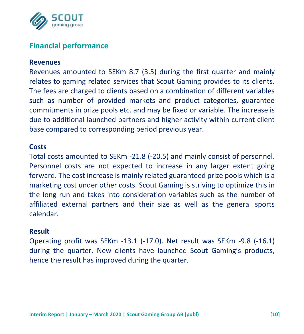

## **Financial performance**

#### **Revenues**

Revenues amounted to SEKm 8.7 (3.5) during the first quarter and mainly relates to gaming related services that Scout Gaming provides to its clients. The fees are charged to clients based on a combination of different variables such as number of provided markets and product categories, guarantee commitments in prize pools etc. and may be fixed or variable. The increase is due to additional launched partners and higher activity within current client base compared to corresponding period previous year.

#### **Costs**

Total costs amounted to SEKm -21.8 (-20.5) and mainly consist of personnel. Personnel costs are not expected to increase in any larger extent going forward. The cost increase is mainly related guaranteed prize pools which is a marketing cost under other costs. Scout Gaming is striving to optimize this in the long run and takes into consideration variables such as the number of affiliated external partners and their size as well as the general sports calendar.

#### **Result**

Operating profit was SEKm -13.1 (-17.0). Net result was SEKm -9.8 (-16.1) during the quarter. New clients have launched Scout Gaming's products, hence the result has improved during the quarter.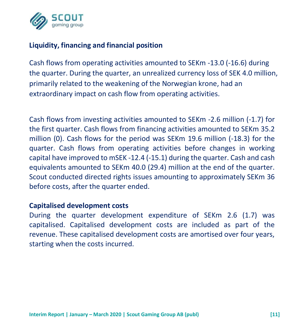

## **Liquidity, financing and financial position**

Cash flows from operating activities amounted to SEKm -13.0 (-16.6) during the quarter. During the quarter, an unrealized currency loss of SEK 4.0 million, primarily related to the weakening of the Norwegian krone, had an extraordinary impact on cash flow from operating activities.

Cash flows from investing activities amounted to SEKm -2.6 million (-1.7) for the first quarter. Cash flows from financing activities amounted to SEKm 35.2 million (0). Cash flows for the period was SEKm 19.6 million (-18.3) for the quarter. Cash flows from operating activities before changes in working capital have improved to mSEK -12.4 (-15.1) during the quarter. Cash and cash equivalents amounted to SEKm 40.0 (29.4) million at the end of the quarter. Scout conducted directed rights issues amounting to approximately SEKm 36 before costs, after the quarter ended.

#### **Capitalised development costs**

During the quarter development expenditure of SEKm 2.6 (1.7) was capitalised. Capitalised development costs are included as part of the revenue. These capitalised development costs are amortised over four years, starting when the costs incurred.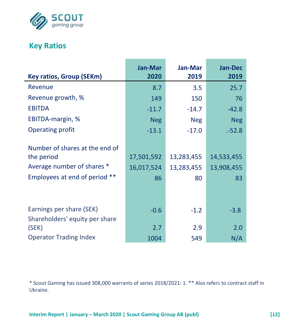

# **Key Ratios**

| <b>Key ratios, Group (SEKm)</b> | <b>Jan-Mar</b><br>2020 | Jan-Mar<br>2019 | <b>Jan-Dec</b><br>2019 |
|---------------------------------|------------------------|-----------------|------------------------|
|                                 |                        |                 |                        |
| Revenue                         | 8.7                    | 3.5             | 25.7                   |
| Revenue growth, %               | 149                    | 150             | 76                     |
| <b>EBITDA</b>                   | $-11.7$                | $-14.7$         | $-42.8$                |
| EBITDA-margin, %                | <b>Neg</b>             | <b>Neg</b>      | <b>Neg</b>             |
| Operating profit                | $-13.1$                | $-17.0$         | .-52.8                 |
| Number of shares at the end of  |                        |                 |                        |
| the period                      | 17,501,592             | 13,283,455      | 14,533,455             |
| Average number of shares *      | 16,017,524             | 13,283,455      | 13,908,455             |
| Employees at end of period **   | 86                     | 80              | 83                     |
|                                 |                        |                 |                        |
| Earnings per share (SEK)        | $-0.6$                 | $-1.2$          | $-3.8$                 |
| Shareholders' equity per share  |                        |                 |                        |
| (SEK)                           | 2.7                    | 2.9             | 2.0                    |
| <b>Operator Trading Index</b>   | 1004                   | 549             | N/A                    |

\* Scout Gaming has issued 308,000 warrants of series 2018/2021: 1. \*\* Also refers to contract staff in Ukraine.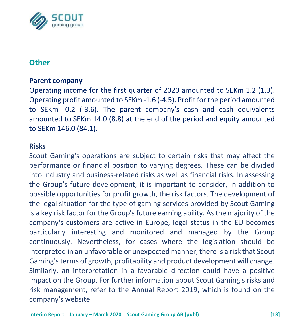

## **Other**

#### **Parent company**

Operating income for the first quarter of 2020 amounted to SEKm 1.2 (1.3). Operating profit amounted to SEKm -1.6 (-4.5). Profit for the period amounted to SEKm -0.2 (-3.6). The parent company's cash and cash equivalents amounted to SEKm 14.0 (8.8) at the end of the period and equity amounted to SEKm 146.0 (84.1).

#### **Risks**

Scout Gaming's operations are subject to certain risks that may affect the performance or financial position to varying degrees. These can be divided into industry and business-related risks as well as financial risks. In assessing the Group's future development, it is important to consider, in addition to possible opportunities for profit growth, the risk factors. The development of the legal situation for the type of gaming services provided by Scout Gaming is a key risk factor for the Group's future earning ability. As the majority of the company's customers are active in Europe, legal status in the EU becomes particularly interesting and monitored and managed by the Group continuously. Nevertheless, for cases where the legislation should be interpreted in an unfavorable or unexpected manner, there is a risk that Scout Gaming's terms of growth, profitability and product development will change. Similarly, an interpretation in a favorable direction could have a positive impact on the Group. For further information about Scout Gaming's risks and risk management, refer to the Annual Report 2019, which is found on the company's website.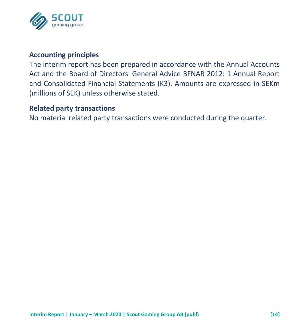

## **Accounting principles**

The interim report has been prepared in accordance with the Annual Accounts Act and the Board of Directors' General Advice BFNAR 2012: 1 Annual Report and Consolidated Financial Statements (K3). Amounts are expressed in SEKm (millions of SEK) unless otherwise stated.

#### **Related party transactions**

No material related party transactions were conducted during the quarter.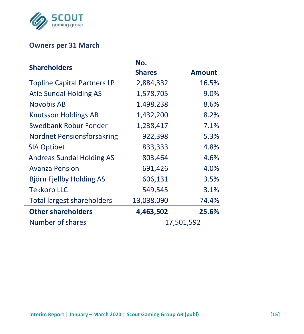

## **Owners per 31 March**

| <b>Shareholders</b>                | No.           |               |
|------------------------------------|---------------|---------------|
|                                    | <b>Shares</b> | <b>Amount</b> |
| <b>Topline Capital Partners LP</b> | 2,884,332     | 16.5%         |
| <b>Atle Sundal Holding AS</b>      | 1,578,705     | 9.0%          |
| Novobis AB                         | 1,498,238     | 8.6%          |
| <b>Knutsson Holdings AB</b>        | 1,432,200     | 8.2%          |
| Swedbank Robur Fonder              | 1,238,417     | 7.1%          |
| Nordnet Pensionsförsäkring         | 922,398       | 5.3%          |
| <b>SIA Optibet</b>                 | 833,333       | 4.8%          |
| <b>Andreas Sundal Holding AS</b>   | 803,464       | 4.6%          |
| <b>Avanza Pension</b>              | 691,426       | 4.0%          |
| Björn Fjellby Holding AS           | 606,131       | 3.5%          |
| <b>Tekkorp LLC</b>                 | 549,545       | 3.1%          |
| <b>Total largest shareholders</b>  | 13,038,090    | 74.4%         |
| <b>Other shareholders</b>          | 4,463,502     | 25.6%         |
| Number of shares                   |               | 17,501,592    |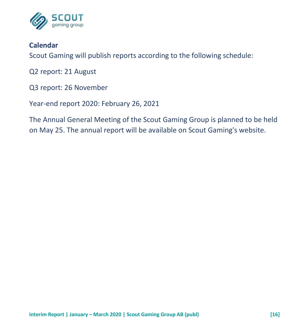

## **Calendar**

Scout Gaming will publish reports according to the following schedule:

Q2 report: 21 August

Q3 report: 26 November

Year-end report 2020: February 26, 2021

The Annual General Meeting of the Scout Gaming Group is planned to be held on May 25. The annual report will be available on Scout Gaming's website.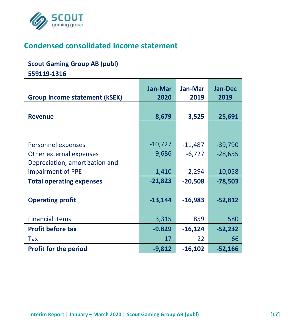

# **Condensed consolidated income statement**

#### **Scout Gaming Group AB (publ)**

**559119-1316**

|                                 | <b>Jan-Mar</b> | Jan-Mar   | <b>Jan-Dec</b> |
|---------------------------------|----------------|-----------|----------------|
| Group income statement (kSEK)   | 2020           | 2019      | 2019           |
|                                 |                |           |                |
| <b>Revenue</b>                  | 8,679          | 3,525     | 25,691         |
|                                 |                |           |                |
|                                 |                |           |                |
| Personnel expenses              | $-10,727$      | $-11,487$ | $-39,790$      |
| Other external expenses         | $-9,686$       | $-6,727$  | $-28,655$      |
| Depreciation, amortization and  |                |           |                |
| impairment of PPE               | $-1,410$       | $-2,294$  | $-10,058$      |
| <b>Total operating expenses</b> | $-21,823$      | $-20,508$ | $-78,503$      |
|                                 |                |           |                |
| <b>Operating profit</b>         | $-13,144$      | $-16,983$ | $-52,812$      |
|                                 |                |           |                |
| <b>Financial items</b>          | 3,315          | 859       | 580            |
| <b>Profit before tax</b>        | $-9.829$       | $-16,124$ | $-52,232$      |
| Tax                             | 17             | 22        | 66             |
| <b>Profit for the period</b>    | $-9,812$       | $-16,102$ | $-52,166$      |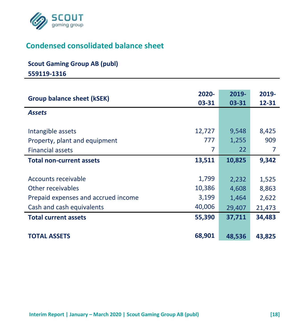

# **Condensed consolidated balance sheet**

#### **Scout Gaming Group AB (publ)**

**559119-1316**

| <b>Group balance sheet (kSEK)</b>   | 2020-<br>03-31 | 2019-<br>03-31 | 2019-<br>12-31 |
|-------------------------------------|----------------|----------------|----------------|
| <b>Assets</b>                       |                |                |                |
|                                     |                |                |                |
| Intangible assets                   | 12,727         | 9,548          | 8,425          |
| Property, plant and equipment       | 777            | 1,255          | 909            |
| <b>Financial assets</b>             | 7              | 22             | 7              |
| <b>Total non-current assets</b>     | 13,511         | 10,825         | 9,342          |
|                                     |                |                |                |
| Accounts receivable                 | 1,799          | 2,232          | 1,525          |
| Other receivables                   | 10,386         | 4,608          | 8,863          |
| Prepaid expenses and accrued income | 3,199          | 1,464          | 2,622          |
| Cash and cash equivalents           | 40,006         | 29,407         | 21,473         |
| <b>Total current assets</b>         | 55,390         | 37,711         | 34,483         |
|                                     |                |                |                |
| <b>TOTAL ASSETS</b>                 | 68,901         | 48,536         | 43,825         |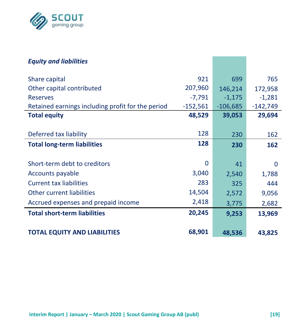

| <b>Equity and liabilities</b>                     |            |            |            |
|---------------------------------------------------|------------|------------|------------|
| Share capital                                     | 921        | 699        | 765        |
| Other capital contributed                         | 207,960    | 146,214    | 172,958    |
| <b>Reserves</b>                                   | $-7,791$   | $-1,175$   | $-1,281$   |
| Retained earnings including profit for the period | $-152,561$ | $-106,685$ | $-142,749$ |
| <b>Total equity</b>                               | 48,529     | 39,053     | 29,694     |
|                                                   |            |            |            |
| Deferred tax liability                            | 128        | 230        | 162        |
| <b>Total long-term liabilities</b>                | 128        | 230        | 162        |
|                                                   |            |            |            |
| Short-term debt to creditors                      | 0          | 41         | 0          |
| Accounts payable                                  | 3,040      | 2,540      | 1,788      |
| <b>Current tax liabilities</b>                    | 283        | 325        | 444        |
| Other current liabilities                         | 14,504     | 2,572      | 9,056      |
| Accrued expenses and prepaid income               | 2,418      | 3,775      | 2,682      |
| <b>Total short-term liabilities</b>               | 20,245     | 9,253      | 13,969     |
|                                                   |            |            |            |
| <b>TOTAL EQUITY AND LIABILITIES</b>               | 68,901     | 48,536     | 43,825     |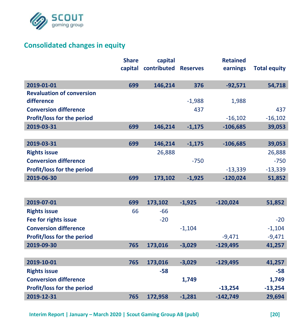

## **Consolidated changes in equity**

|                                  | <b>Share</b> | capital     |                 | <b>Retained</b> |                     |
|----------------------------------|--------------|-------------|-----------------|-----------------|---------------------|
|                                  | capital      | contributed | <b>Reserves</b> | earnings        | <b>Total equity</b> |
| 2019-01-01                       | 699          | 146,214     | 376             | $-92,571$       | 54,718              |
| <b>Revaluation of conversion</b> |              |             |                 |                 |                     |
| difference                       |              |             | $-1,988$        | 1,988           |                     |
| <b>Conversion difference</b>     |              |             | 437             |                 | 437                 |
| Profit/loss for the period       |              |             |                 | $-16,102$       | $-16,102$           |
| 2019-03-31                       | 699          | 146,214     | $-1,175$        | $-106,685$      | 39,053              |
|                                  |              |             |                 |                 |                     |
| 2019-03-31                       | 699          | 146,214     | $-1,175$        | $-106,685$      | 39,053              |
| <b>Rights issue</b>              |              | 26,888      |                 |                 | 26,888              |
| <b>Conversion difference</b>     |              |             | $-750$          |                 | $-750$              |
| Profit/loss for the period       |              |             |                 | $-13,339$       | $-13,339$           |
| 2019-06-30                       | 699          | 173,102     | $-1,925$        | $-120,024$      | 51,852              |
|                                  |              |             |                 |                 |                     |
| 2019-07-01                       | 699          | 173,102     | $-1,925$        | $-120,024$      | 51,852              |
| <b>Rights issue</b>              | 66           | $-66$       |                 |                 |                     |
| Fee for rights issue             |              | $-20$       |                 |                 | $-20$               |
| <b>Conversion difference</b>     |              |             | $-1,104$        |                 | $-1,104$            |
| Profit/loss for the period       |              |             |                 | $-9,471$        | $-9,471$            |
| 2019-09-30                       | 765          | 173,016     | $-3,029$        | $-129,495$      | 41,257              |
|                                  |              |             |                 |                 |                     |
| 2019-10-01                       | 765          | 173,016     | $-3,029$        | $-129,495$      | 41,257              |
| <b>Rights issue</b>              |              | -58         |                 |                 | $-58$               |
| <b>Conversion difference</b>     |              |             | 1,749           |                 | 1,749               |
| Profit/loss for the period       |              |             |                 | $-13,254$       | $-13,254$           |
| 2019-12-31                       | 765          | 172,958     | $-1,281$        | $-142,749$      | 29,694              |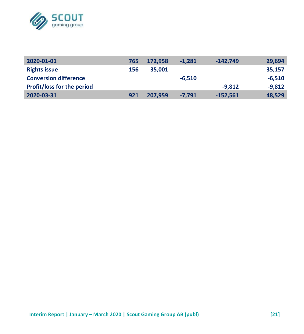

| 2020-01-01                        | 765 | 172.958 | $-1.281$ | $-142.749$ | 29,694   |
|-----------------------------------|-----|---------|----------|------------|----------|
| <b>Rights issue</b>               | 156 | 35,001  |          |            | 35.157   |
| <b>Conversion difference</b>      |     |         | $-6.510$ |            | $-6.510$ |
| <b>Profit/loss for the period</b> |     |         |          | $-9.812$   | $-9.812$ |
| 2020-03-31                        | 921 | 207.959 | $-7.791$ | $-152.561$ | 48.529   |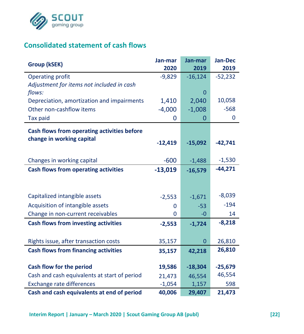

# **Consolidated statement of cash flows**

| Group (kSEK)                                 | Jan-mar   | Jan-mar        | Jan-Dec   |
|----------------------------------------------|-----------|----------------|-----------|
|                                              | 2020      | 2019           | 2019      |
| Operating profit                             | $-9,829$  | $-16,124$      | $-52,232$ |
| Adjustment for items not included in cash    |           |                |           |
| flows:                                       |           | 0              |           |
| Depreciation, amortization and impairments   | 1,410     | 2,040          | 10,058    |
| Other non-cashflow items                     | $-4,000$  | $-1,008$       | $-568$    |
| Tax paid                                     | 0         | 0              | 0         |
| Cash flows from operating activities before  |           |                |           |
| change in working capital                    |           |                |           |
|                                              | $-12,419$ | $-15,092$      | $-42,741$ |
|                                              |           |                |           |
| Changes in working capital                   | $-600$    | $-1,488$       | $-1,530$  |
| Cash flows from operating activities         | $-13,019$ | $-16,579$      | $-44,271$ |
|                                              |           |                |           |
|                                              |           |                |           |
| Capitalized intangible assets                | $-2,553$  | $-1,671$       | $-8,039$  |
| Acquisition of intangible assets             | 0         | $-53$          | $-194$    |
| Change in non-current receivables            | 0         | -0             | 14        |
| Cash flows from investing activities         | $-2,553$  | $-1,724$       | $-8,218$  |
|                                              |           |                |           |
| Rights issue, after transaction costs        | 35,157    | $\overline{0}$ | 26,810    |
| <b>Cash flows from financing activities</b>  | 35,157    | 42,218         | 26,810    |
|                                              |           |                |           |
| Cash flow for the period                     | 19,586    | $-18,304$      | $-25,679$ |
| Cash and cash equivalents at start of period | 21,473    | 46,554         | 46,554    |
| <b>Exchange rate differences</b>             | $-1,054$  | 1,157          | 598       |
| Cash and cash equivalents at end of period   | 40,006    | 29,407         | 21,473    |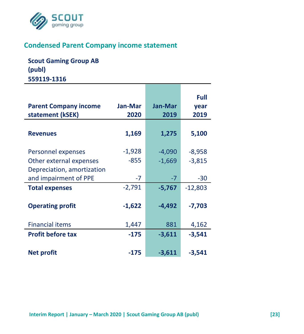

## **Condensed Parent Company income statement**

**Scout Gaming Group AB (publ) 559119-1316**

| <b>Parent Company income</b><br>statement (kSEK)    | <b>Jan-Mar</b><br>2020 | <b>Jan-Mar</b><br>2019 | Full<br>year<br>2019 |
|-----------------------------------------------------|------------------------|------------------------|----------------------|
| <b>Revenues</b>                                     | 1,169                  | 1,275                  | 5,100                |
| Personnel expenses<br>Other external expenses       | $-1,928$<br>$-855$     | $-4,090$<br>$-1,669$   | -8,958<br>$-3,815$   |
| Depreciation, amortization<br>and impairment of PPE | $-7$                   | $-7$                   | -30                  |
| <b>Total expenses</b>                               | $-2,791$               | $-5,767$               | $-12,803$            |
| <b>Operating profit</b>                             | $-1,622$               | $-4,492$               | $-7,703$             |
| <b>Financial items</b>                              | 1,447                  | 881                    | 4,162                |
| <b>Profit before tax</b>                            | $-175$                 | $-3,611$               | $-3,541$             |
| <b>Net profit</b>                                   | $-175$                 | $-3,611$               | $-3.541$             |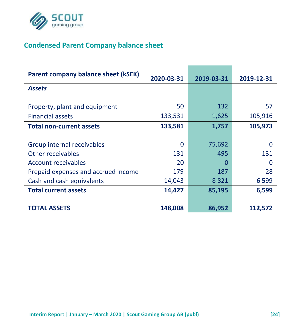

# **Condensed Parent Company balance sheet**

| Parent company balance sheet (kSEK) | 2020-03-31 | 2019-03-31 | 2019-12-31 |
|-------------------------------------|------------|------------|------------|
| <b>Assets</b>                       |            |            |            |
| Property, plant and equipment       | 50         | 132        | 57         |
| <b>Financial assets</b>             | 133,531    | 1,625      | 105,916    |
| <b>Total non-current assets</b>     | 133,581    | 1,757      | 105,973    |
|                                     |            |            |            |
| Group internal receivables          | 0          | 75,692     | 0          |
| Other receivables                   | 131        | 495        | 131        |
| Account receivables                 | 20         | $\Omega$   | n          |
| Prepaid expenses and accrued income | 179        | 187        | 28         |
| Cash and cash equivalents           | 14,043     | 8821       | 6 5 9 9    |
| <b>Total current assets</b>         | 14,427     | 85,195     | 6,599      |
|                                     |            |            |            |
| <b>TOTAL ASSETS</b>                 | 148,008    | 86,952     | 112,572    |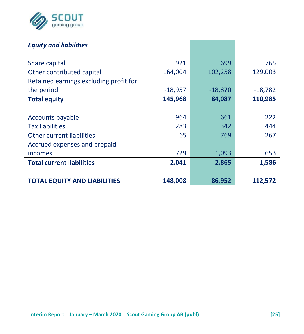

## *Equity and liabilities*

| Share capital                          | 921       | 699       | 765       |
|----------------------------------------|-----------|-----------|-----------|
| Other contributed capital              | 164,004   | 102,258   | 129,003   |
| Retained earnings excluding profit for |           |           |           |
| the period                             | $-18,957$ | $-18,870$ | $-18,782$ |
| <b>Total equity</b>                    | 145,968   | 84,087    | 110,985   |
|                                        |           |           |           |
| Accounts payable                       | 964       | 661       | 222       |
| <b>Tax liabilities</b>                 | 283       | 342       | 444       |
| Other current liabilities              | 65        | 769       | 267       |
| Accrued expenses and prepaid           |           |           |           |
| incomes                                | 729       | 1,093     | 653       |
| <b>Total current liabilities</b>       | 2,041     | 2,865     | 1,586     |
|                                        |           |           |           |
| <b>TOTAL EQUITY AND LIABILITIES</b>    | 148,008   | 86,952    | 112,572   |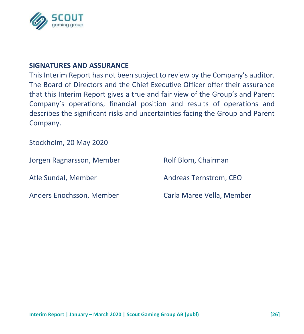

#### **SIGNATURES AND ASSURANCE**

This Interim Report has not been subject to review by the Company's auditor. The Board of Directors and the Chief Executive Officer offer their assurance that this Interim Report gives a true and fair view of the Group's and Parent Company's operations, financial position and results of operations and describes the significant risks and uncertainties facing the Group and Parent Company.

Stockholm, 20 May 2020

| Jorgen Ragnarsson, Member | Rolf Blom, Chairman       |
|---------------------------|---------------------------|
| Atle Sundal, Member       | Andreas Ternstrom, CEO    |
| Anders Enochsson, Member  | Carla Maree Vella, Member |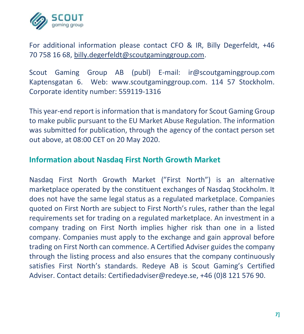

For additional information please contact CFO & IR, Billy Degerfeldt, +46 70 758 16 68, [billy.degerfeldt@scoutgaminggroup.com.](mailto:billy.degerfeldt@scoutgaminggroup.com)

Scout Gaming Group AB (publ) E-mail: ir@scoutgaminggroup.com Kaptensgatan 6. Web: www.scoutgaminggroup.com. 114 57 Stockholm. Corporate identity number: 559119-1316

This year-end report is information that is mandatory for Scout Gaming Group to make public pursuant to the EU Market Abuse Regulation. The information was submitted for publication, through the agency of the contact person set out above, at 08:00 CET on 20 May 2020.

## **Information about Nasdaq First North Growth Market**

Nasdaq First North Growth Market ("First North") is an alternative marketplace operated by the constituent exchanges of Nasdaq Stockholm. It does not have the same legal status as a regulated marketplace. Companies quoted on First North are subject to First North's rules, rather than the legal requirements set for trading on a regulated marketplace. An investment in a company trading on First North implies higher risk than one in a listed company. Companies must apply to the exchange and gain approval before trading on First North can commence. A Certified Adviser guides the company through the listing process and also ensures that the company continuously satisfies First North's standards. Redeye AB is Scout Gaming's Certified Adviser. Contact details: Certifiedadviser@redeye.se, +46 (0)8 121 576 90.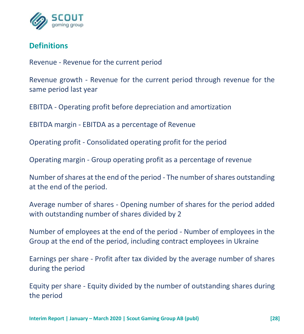

## **Definitions**

Revenue - Revenue for the current period

Revenue growth - Revenue for the current period through revenue for the same period last year

EBITDA - Operating profit before depreciation and amortization

EBITDA margin - EBITDA as a percentage of Revenue

Operating profit - Consolidated operating profit for the period

Operating margin - Group operating profit as a percentage of revenue

Number of shares at the end of the period - The number of shares outstanding at the end of the period.

Average number of shares - Opening number of shares for the period added with outstanding number of shares divided by 2

Number of employees at the end of the period - Number of employees in the Group at the end of the period, including contract employees in Ukraine

Earnings per share - Profit after tax divided by the average number of shares during the period

Equity per share - Equity divided by the number of outstanding shares during the period